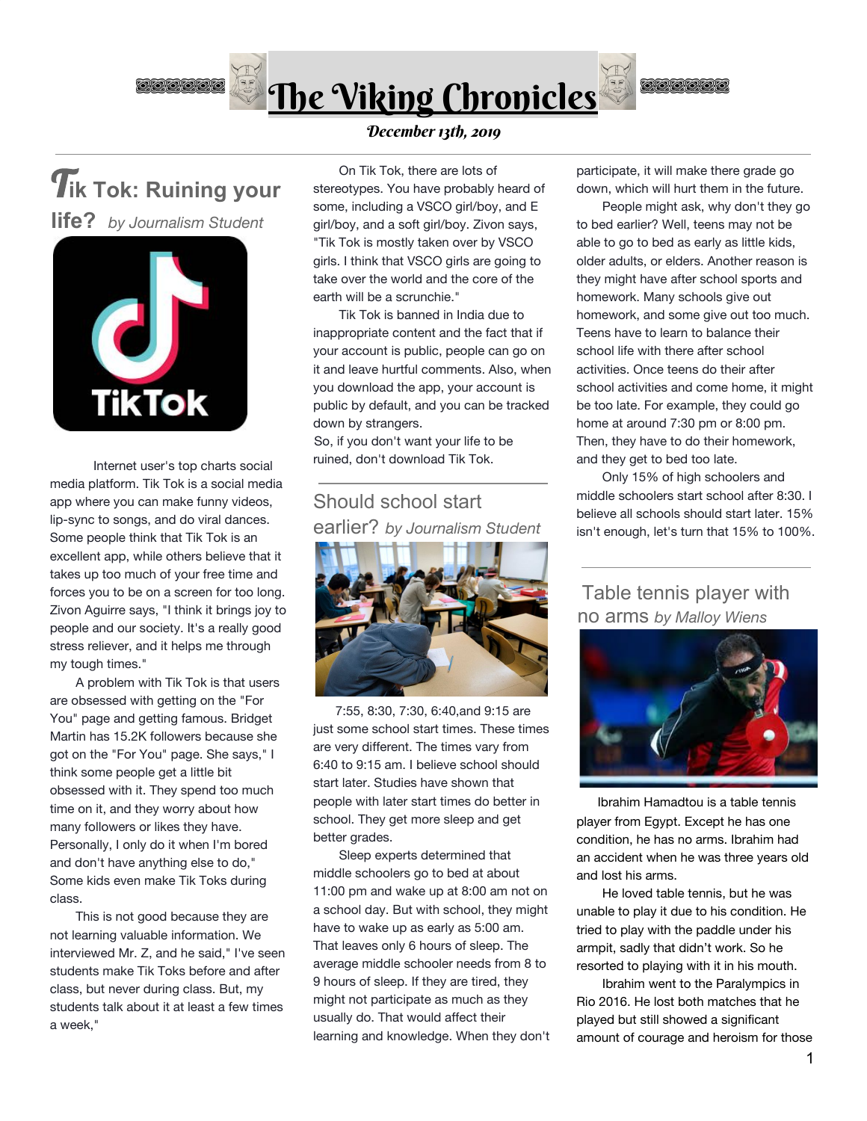



 Internet user's top charts social media platform. Tik Tok is a social media app where you can make funny videos, lip-sync to songs, and do viral dances. Some people think that Tik Tok is an excellent app, while others believe that it takes up too much of your free time and forces you to be on a screen for too long. Zivon Aguirre says, "I think it brings joy to people and our society. It's a really good stress reliever, and it helps me through my tough times."

 A problem with Tik Tok is that users are obsessed with getting on the "For You" page and getting famous. Bridget Martin has 15.2K followers because she got on the "For You" page. She says," I think some people get a little bit obsessed with it. They spend too much time on it, and they worry about how many followers or likes they have. Personally, I only do it when I'm bored and don't have anything else to do," Some kids even make Tik Toks during class.

 This is not good because they are not learning valuable information. We interviewed Mr. Z, and he said," I've seen students make Tik Toks before and after class, but never during class. But, my students talk about it at least a few times a week,"

December 13th, 2019

 On Tik Tok, there are lots of stereotypes. You have probably heard of some, including a VSCO girl/boy, and E girl/boy, and a soft girl/boy. Zivon says, "Tik Tok is mostly taken over by VSCO girls. I think that VSCO girls are going to take over the world and the core of the earth will be a scrunchie."

 Tik Tok is banned in India due to inappropriate content and the fact that if your account is public, people can go on it and leave hurtful comments. Also, when you download the app, your account is public by default, and you can be tracked down by strangers.

So, if you don't want your life to be ruined, don't download Tik Tok.

## Should school start earlier? *by Journalism Student*



 7:55, 8:30, 7:30, 6:40,and 9:15 are just some school start times. These times are very different. The times vary from 6:40 to 9:15 am. I believe school should start later. Studies have shown that people with later start times do better in school. They get more sleep and get better grades.

 Sleep experts determined that middle schoolers go to bed at about 11:00 pm and wake up at 8:00 am not on a school day. But with school, they might have to wake up as early as 5:00 am. That leaves only 6 hours of sleep. The average middle schooler needs from 8 to 9 hours of sleep. If they are tired, they might not participate as much as they usually do. That would affect their learning and knowledge. When they don't participate, it will make there grade go down, which will hurt them in the future.

**OO OOO O** 

 People might ask, why don't they go to bed earlier? Well, teens may not be able to go to bed as early as little kids, older adults, or elders. Another reason is they might have after school sports and homework. Many schools give out homework, and some give out too much. Teens have to learn to balance their school life with there after school activities. Once teens do their after school activities and come home, it might be too late. For example, they could go home at around 7:30 pm or 8:00 pm. Then, they have to do their homework, and they get to bed too late.

 Only 15% of high schoolers and middle schoolers start school after 8:30. I believe all schools should start later. 15% isn't enough, let's turn that 15% to 100%.

Table tennis player with no arms *by Malloy Wiens*



 Ibrahim Hamadtou is a table tennis player from Egypt. Except he has one condition, he has no arms. Ibrahim had an accident when he was three years old and lost his arms.

 He loved table tennis, but he was unable to play it due to his condition. He tried to play with the paddle under his armpit, sadly that didn't work. So he resorted to playing with it in his mouth.

 Ibrahim went to the Paralympics in Rio 2016. He lost both matches that he played but still showed a significant amount of courage and heroism for those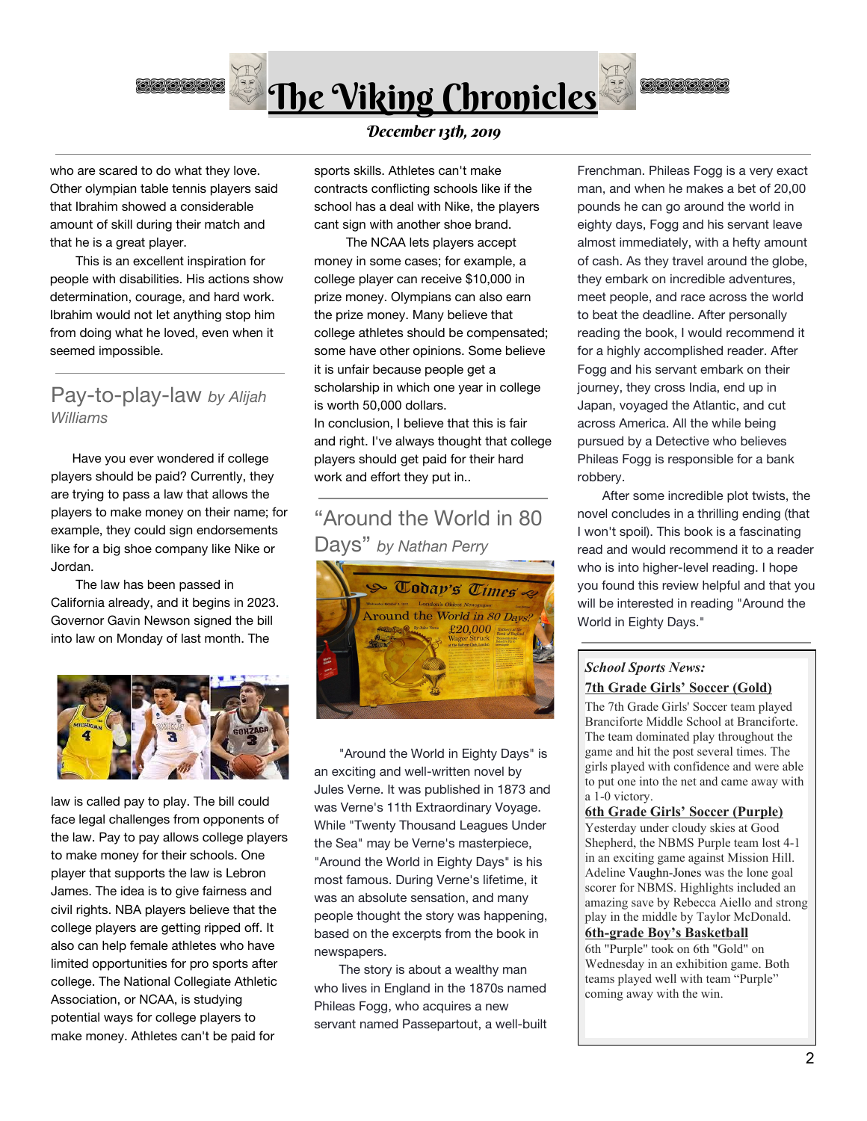

who are scared to do what they love. Other olympian table tennis players said that Ibrahim showed a considerable amount of skill during their match and that he is a great player.

 This is an excellent inspiration for people with disabilities. His actions show determination, courage, and hard work. Ibrahim would not let anything stop him from doing what he loved, even when it seemed impossible.

## Pay-to-play-law *by Alijah Williams*

 Have you ever wondered if college players should be paid? Currently, they are trying to pass a law that allows the players to make money on their name; for example, they could sign endorsements like for a big shoe company like Nike or Jordan.

 The law has been passed in California already, and it begins in 2023. Governor Gavin Newson signed the bill into law on Monday of last month. The



law is called pay to play. The bill could face legal challenges from opponents of the law. Pay to pay allows college players to make money for their schools. One player that supports the law is Lebron James. The idea is to give fairness and civil rights. NBA players believe that the college players are getting ripped off. It also can help female athletes who have limited opportunities for pro sports after college. The National Collegiate Athletic Association, or NCAA, is studying potential ways for college players to make money. Athletes can't be paid for

### December 13th, 2019

sports skills. Athletes can't make contracts conflicting schools like if the school has a deal with Nike, the players cant sign with another shoe brand.

 The NCAA lets players accept money in some cases; for example, a college player can receive \$10,000 in prize money. Olympians can also earn the prize money. Many believe that college athletes should be compensated; some have other opinions. Some believe it is unfair because people get a scholarship in which one year in college is worth 50,000 dollars.

In conclusion, I believe that this is fair and right. I've always thought that college players should get paid for their hard work and effort they put in..

# "Around the World in 80 Days" *by Nathan Perry*



 "Around the World in Eighty Days" is an exciting and well-written novel by Jules Verne. It was published in 1873 and was Verne's 11th Extraordinary Voyage. While "Twenty Thousand Leagues Under the Sea" may be Verne's masterpiece, "Around the World in Eighty Days" is his most famous. During Verne's lifetime, it was an absolute sensation, and many people thought the story was happening, based on the excerpts from the book in newspapers.

 The story is about a wealthy man who lives in England in the 1870s named Phileas Fogg, who acquires a new servant named Passepartout, a well-built Frenchman. Phileas Fogg is a very exact man, and when he makes a bet of 20,00 pounds he can go around the world in eighty days, Fogg and his servant leave almost immediately, with a hefty amount of cash. As they travel around the globe, they embark on incredible adventures, meet people, and race across the world to beat the deadline. After personally reading the book, I would recommend it for a highly accomplished reader. After Fogg and his servant embark on their journey, they cross India, end up in Japan, voyaged the Atlantic, and cut across America. All the while being pursued by a Detective who believes Phileas Fogg is responsible for a bank robbery.

**ODOOOO** 

 After some incredible plot twists, the novel concludes in a thrilling ending (that I won't spoil). This book is a fascinating read and would recommend it to a reader who is into higher-level reading. I hope you found this review helpful and that you will be interested in reading "Around the World in Eighty Days."

### *School Sports News:* **7th Grade Girls' Soccer (Gold)**

The 7th Grade Girls' Soccer team played Branciforte Middle School at Branciforte. The team dominated play throughout the game and hit the post several times. The girls played with confidence and were able to put one into the net and came away with a 1-0 victory.

#### **6th Grade Girls' Soccer (Purple)**

Yesterday under cloudy skies at Good Shepherd, the NBMS Purple team lost 4-1 in an exciting game against Mission Hill. Adeline [Vaughn-Jones](https://suesd.illuminateed.com/live/?page=StudentProfile&student_id=5983) was the lone goal scorer for NBMS. Highlights included an amazing save by Rebecca Aiello and strong play in the middle by Taylor McDonald. **6th-grade Boy's Basketball** 6th "Purple" took on 6th "Gold" on

Wednesday in an exhibition game. Both teams played well with team "Purple" coming away with the win.